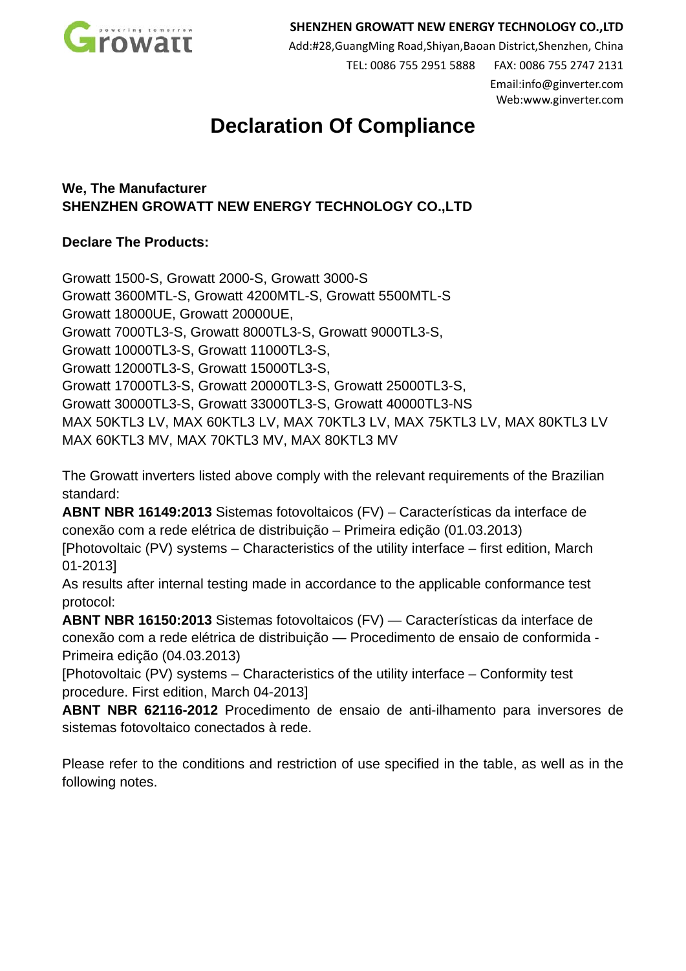

## **SHENZHEN GROWATT NEW ENERGY TECHNOLOGY CO.,LTD**

Add:#28,GuangMing Road,Shiyan,Baoan District,Shenzhen, China

TEL: 0086 755 2951 5888 FAX: 0086 755 2747 2131 Email:info@ginverter.com

Web:www.ginverter.com

## **Declaration Of Compliance**

**We, The Manufacturer SHENZHEN GROWATT NEW ENERGY TECHNOLOGY CO.,LTD** 

## **Declare The Products:**

Growatt 1500-S, Growatt 2000-S, Growatt 3000-S Growatt 3600MTL-S, Growatt 4200MTL-S, Growatt 5500MTL-S Growatt 18000UE, Growatt 20000UE, Growatt 7000TL3-S, Growatt 8000TL3-S, Growatt 9000TL3-S, Growatt 10000TL3-S, Growatt 11000TL3-S, Growatt 12000TL3-S, Growatt 15000TL3-S, Growatt 17000TL3-S, Growatt 20000TL3-S, Growatt 25000TL3-S, Growatt 30000TL3-S, Growatt 33000TL3-S, Growatt 40000TL3-NS MAX 50KTL3 LV, MAX 60KTL3 LV, MAX 70KTL3 LV, MAX 75KTL3 LV, MAX 80KTL3 LV MAX 60KTL3 MV, MAX 70KTL3 MV, MAX 80KTL3 MV

The Growatt inverters listed above comply with the relevant requirements of the Brazilian standard:

**ABNT NBR 16149:2013** Sistemas fotovoltaicos (FV) – Características da interface de conexão com a rede elétrica de distribuição – Primeira edição (01.03.2013)

[Photovoltaic (PV) systems – Characteristics of the utility interface – first edition, March 01-2013]

As results after internal testing made in accordance to the applicable conformance test protocol:

**ABNT NBR 16150:2013** Sistemas fotovoltaicos (FV) — Características da interface de conexão com a rede elétrica de distribuição — Procedimento de ensaio de conformida - Primeira edição (04.03.2013)

[Photovoltaic (PV) systems – Characteristics of the utility interface – Conformity test procedure. First edition, March 04-2013]

**ABNT NBR 62116-2012** Procedimento de ensaio de anti-ilhamento para inversores de sistemas fotovoltaico conectados à rede.

Please refer to the conditions and restriction of use specified in the table, as well as in the following notes.